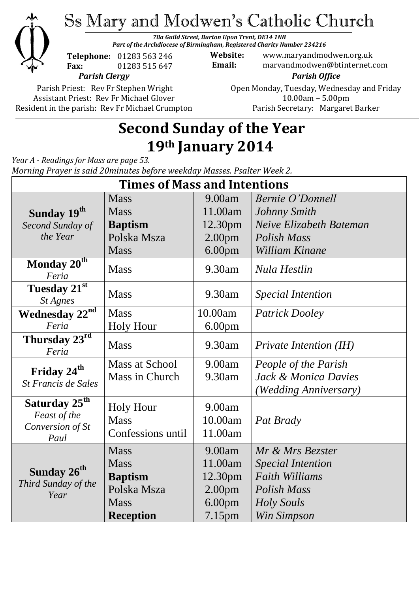

Ss Mary and Modwen's Catholic Church

*78a Guild Street, Burton Upon Trent, DE14 1NB Part of the Archdiocese of Birmingham, Registered Charity Number 234216*

**Telephone:** 01283 563 246 **Fax:** 01283 515 647

*Parish Clergy*

Parish Priest: Rev Fr Stephen Wright Assistant Priest: Rev Fr Michael Glover Resident in the parish: Rev Fr Michael Crumpton

**Website:** www.maryandmodwen.org.uk **Email:** maryandmodwen@btinternet.com *Parish Office*

> Open Monday, Tuesday, Wednesday and Friday 10.00am – 5.00pm Parish Secretary:Margaret Barker

# **Second Sunday of the Year 19th January 2014**

*Year A - Readings for Mass are page 53. Morning Prayer is said 20minutes before weekday Masses. Psalter Week 2.*

| <b>Times of Mass and Intentions</b>                    |                               |                               |                               |
|--------------------------------------------------------|-------------------------------|-------------------------------|-------------------------------|
|                                                        | <b>Mass</b>                   | 9.00am                        | <b>Bernie O'Donnell</b>       |
| Sunday 19 <sup>th</sup>                                | <b>Mass</b>                   | 11.00am                       | Johnny Smith                  |
| Second Sunday of                                       | <b>Baptism</b>                | 12.30pm                       | Neive Elizabeth Bateman       |
| the Year                                               | Polska Msza                   | 2.00 <sub>pm</sub>            | <b>Polish Mass</b>            |
|                                                        | <b>Mass</b>                   | 6.00 <sub>pm</sub>            | William Kinane                |
| Monday 20 <sup>th</sup><br>Feria                       | <b>Mass</b>                   | 9.30am                        | Nula Hestlin                  |
| Tuesday 21st<br>St Agnes                               | <b>Mass</b>                   | 9.30am                        | <i>Special Intention</i>      |
| Wednesday 22 <sup>nd</sup>                             | <b>Mass</b>                   | 10.00am                       | <b>Patrick Dooley</b>         |
| Feria                                                  | <b>Holy Hour</b>              | 6.00 <sub>pm</sub>            |                               |
| Thursday $23^{\text{rd}}$<br>Feria                     | <b>Mass</b>                   | 9.30am                        | <i>Private Intention (IH)</i> |
| Friday 24 <sup>th</sup><br>St Francis de Sales         | <b>Mass at School</b>         | 9.00am                        | People of the Parish          |
|                                                        | Mass in Church                | 9.30am                        | Jack & Monica Davies          |
|                                                        |                               |                               | (Wedding Anniversary)         |
| Saturday 25 <sup>th</sup>                              | <b>Holy Hour</b>              | 9.00am                        |                               |
| Feast of the                                           | <b>Mass</b>                   | 10.00am                       | Pat Brady                     |
| Conversion of St                                       | Confessions until             | 11.00am                       |                               |
| Paul                                                   | <b>Mass</b>                   | 9.00am                        | Mr & Mrs Bezster              |
| Sunday 26 <sup>th</sup><br>Third Sunday of the<br>Year | <b>Mass</b>                   | 11.00am                       | <b>Special Intention</b>      |
|                                                        |                               |                               | <b>Faith Williams</b>         |
|                                                        | <b>Baptism</b><br>Polska Msza | 12.30pm<br>2.00 <sub>pm</sub> | Polish Mass                   |
|                                                        | <b>Mass</b>                   |                               |                               |
|                                                        |                               | 6.00 <sub>pm</sub>            | <b>Holy Souls</b>             |
|                                                        | <b>Reception</b>              | 7.15pm                        | Win Simpson                   |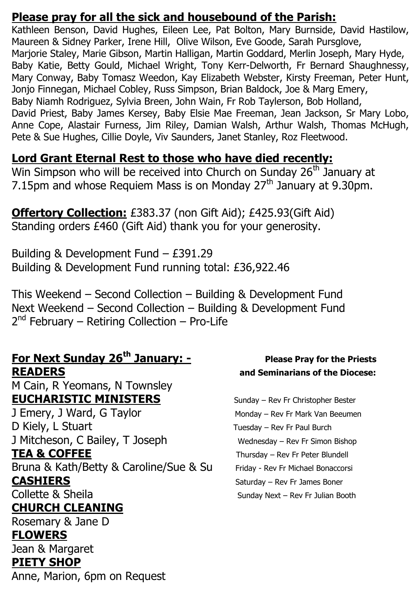### **Please pray for all the sick and housebound of the Parish:**

Kathleen Benson, David Hughes, Eileen Lee, Pat Bolton, Mary Burnside, David Hastilow, Maureen & Sidney Parker, Irene Hill, Olive Wilson, Eve Goode, Sarah Pursglove, Marjorie Staley, Marie Gibson, Martin Halligan, Martin Goddard, Merlin Joseph, Mary Hyde, Baby Katie, Betty Gould, Michael Wright, Tony Kerr-Delworth, Fr Bernard Shaughnessy, Mary Conway, Baby Tomasz Weedon, Kay Elizabeth Webster, Kirsty Freeman, Peter Hunt, Jonjo Finnegan, Michael Cobley, Russ Simpson, Brian Baldock, Joe & Marg Emery, Baby Niamh Rodriguez, Sylvia Breen, John Wain, Fr Rob Taylerson, Bob Holland, David Priest, Baby James Kersey, Baby Elsie Mae Freeman, Jean Jackson, Sr Mary Lobo, Anne Cope, Alastair Furness, Jim Riley, Damian Walsh, Arthur Walsh, Thomas McHugh, Pete & Sue Hughes, Cillie Doyle, Viv Saunders, Janet Stanley, Roz Fleetwood.

### **Lord Grant Eternal Rest to those who have died recently:**

Win Simpson who will be received into Church on Sunday 26<sup>th</sup> January at 7.15pm and whose Requiem Mass is on Monday  $27<sup>th</sup>$  January at 9.30pm.

**Offertory Collection:** £383.37 (non Gift Aid); £425.93(Gift Aid) Standing orders £460 (Gift Aid) thank you for your generosity.

Building & Development Fund – £391.29 Building & Development Fund running total: £36,922.46

This Weekend – Second Collection – Building & Development Fund Next Weekend – Second Collection – Building & Development Fund 2<sup>nd</sup> February – Retiring Collection – Pro-Life

### **For Next Sunday 26<sup>th</sup> January: -** Please Pray for the Priests **READERS and Seminarians of the Diocese:**

M Cain, R Yeomans, N Townsley **EUCHARISTIC MINISTERS** Sunday – Rev Fr Christopher Bester

J Emery, J Ward, G Taylor Monday – Rev Fr Mark Van Beeumen D Kiely, L Stuart Tuesday – Rev Fr Paul Burch J Mitcheson, C Bailey, T Joseph Wednesday – Rev Fr Simon Bishop

Bruna & Kath/Betty & Caroline/Sue & Su Friday - Rev Fr Michael Bonaccorsi **CASHIERS** Saturday – Rev Fr James Boner

## **CHURCH CLEANING**

Rosemary & Jane D

### **FLOWERS**

Jean & Margaret **PIETY SHOP**

Anne, Marion, 6pm on Request

**TEA & COFFEE** Thursday – Rev Fr Peter Blundell Collette & Sheila Sunday Next – Rev Fr Julian Booth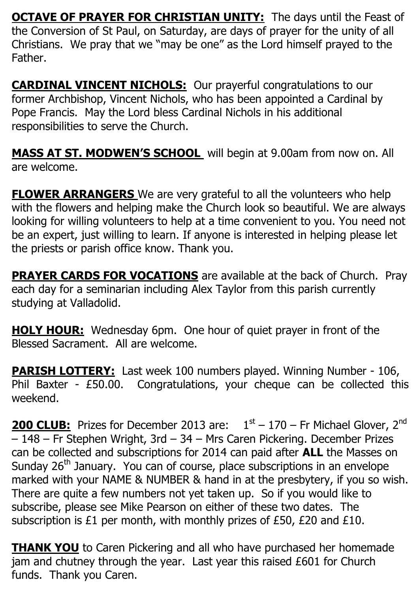**OCTAVE OF PRAYER FOR CHRISTIAN UNITY:** The days until the Feast of the Conversion of St Paul, on Saturday, are days of prayer for the unity of all Christians. We pray that we "may be one" as the Lord himself prayed to the Father.

**CARDINAL VINCENT NICHOLS:** Our prayerful congratulations to our former Archbishop, Vincent Nichols, who has been appointed a Cardinal by Pope Francis. May the Lord bless Cardinal Nichols in his additional responsibilities to serve the Church.

**MASS AT ST. MODWEN'S SCHOOL** will begin at 9.00am from now on. All are welcome.

**FLOWER ARRANGERS** We are very grateful to all the volunteers who help with the flowers and helping make the Church look so beautiful. We are always looking for willing volunteers to help at a time convenient to you. You need not be an expert, just willing to learn. If anyone is interested in helping please let the priests or parish office know. Thank you.

**PRAYER CARDS FOR VOCATIONS** are available at the back of Church. Pray each day for a seminarian including Alex Taylor from this parish currently studying at Valladolid.

**HOLY HOUR:** Wednesday 6pm. One hour of quiet prayer in front of the Blessed Sacrament. All are welcome.

**PARISH LOTTERY:** Last week 100 numbers played. Winning Number - 106, Phil Baxter - £50.00. Congratulations, your cheque can be collected this weekend.

**200 CLUB:** Prizes for December 2013 are:  $1<sup>st</sup> - 170$  – Fr Michael Glover, 2<sup>nd</sup> – 148 – Fr Stephen Wright, 3rd – 34 – Mrs Caren Pickering. December Prizes can be collected and subscriptions for 2014 can paid after **ALL** the Masses on Sunday 26<sup>th</sup> January. You can of course, place subscriptions in an envelope marked with your NAME & NUMBER & hand in at the presbytery, if you so wish. There are quite a few numbers not yet taken up. So if you would like to subscribe, please see Mike Pearson on either of these two dates. The subscription is £1 per month, with monthly prizes of £50, £20 and £10.

**THANK YOU** to Caren Pickering and all who have purchased her homemade jam and chutney through the year. Last year this raised £601 for Church funds. Thank you Caren.